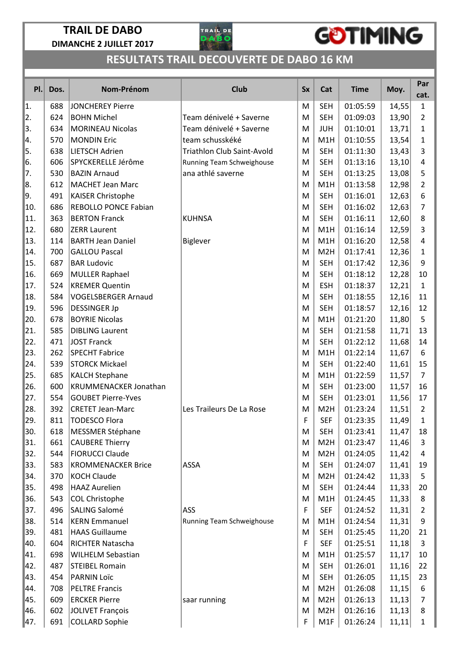

# GOTIMING

| PI. | Dos. | Nom-Prénom                  | <b>Club</b>                       | <b>Sx</b> | Cat              | <b>Time</b> | Moy.   | Par<br>cat.    |
|-----|------|-----------------------------|-----------------------------------|-----------|------------------|-------------|--------|----------------|
| 1.  | 688  | <b>JONCHEREY Pierre</b>     |                                   | M         | <b>SEH</b>       | 01:05:59    | 14,55  | $\mathbf{1}$   |
| 2.  | 624  | <b>BOHN Michel</b>          | Team dénivelé + Saverne           | M         | <b>SEH</b>       | 01:09:03    | 13,90  | $\overline{2}$ |
| 3.  | 634  | <b>MORINEAU Nicolas</b>     | Team dénivelé + Saverne           | M         | <b>JUH</b>       | 01:10:01    | 13,71  | 1              |
| 4.  | 570  | <b>MONDIN Eric</b>          | team schusskéké                   | M         | M1H              | 01:10:55    | 13,54  | 1              |
| 5.  | 638  | <b>LIETSCH Adrien</b>       | <b>Triathlon Club Saint-Avold</b> | M         | <b>SEH</b>       | 01:11:30    | 13,43  | 3              |
| 6.  | 606  | SPYCKERELLE Jérôme          | Running Team Schweighouse         | M         | <b>SEH</b>       | 01:13:16    | 13,10  | 4              |
| 17. | 530  | <b>BAZIN Arnaud</b>         | ana athlé saverne                 | M         | <b>SEH</b>       | 01:13:25    | 13,08  | 5              |
| 8.  | 612  | <b>MACHET Jean Marc</b>     |                                   | M         | M1H              | 01:13:58    | 12,98  | $\overline{2}$ |
| 9.  | 491  | KAISER Christophe           |                                   | M         | <b>SEH</b>       | 01:16:01    | 12,63  | 6              |
| 10. | 686  | <b>REBOLLO PONCE Fabian</b> |                                   | M         | <b>SEH</b>       | 01:16:02    | 12,63  | 7              |
| 11. | 363  | <b>BERTON Franck</b>        | <b>KUHNSA</b>                     | M         | <b>SEH</b>       | 01:16:11    | 12,60  | 8              |
| 12. | 680  | <b>ZERR Laurent</b>         |                                   | M         | M1H              | 01:16:14    | 12,59  | 3              |
| 13. | 114  | <b>BARTH Jean Daniel</b>    | Biglever                          | M         | M1H              | 01:16:20    | 12,58  | 4              |
| 14. | 700  | <b>GALLOU Pascal</b>        |                                   | M         | M <sub>2</sub> H | 01:17:41    | 12,36  | 1              |
| 15. | 687  | <b>BAR Ludovic</b>          |                                   | M         | <b>SEH</b>       | 01:17:42    | 12,36  | 9              |
| 16. | 669  | <b>MULLER Raphael</b>       |                                   | M         | <b>SEH</b>       | 01:18:12    | 12,28  | 10             |
| 17. | 524  | <b>KREMER Quentin</b>       |                                   | M         | <b>ESH</b>       | 01:18:37    | 12,21  | $\mathbf{1}$   |
| 18. | 584  | <b>VOGELSBERGER Arnaud</b>  |                                   | M         | <b>SEH</b>       | 01:18:55    | 12,16  | 11             |
| 19. | 596  | <b>DESSINGER Jp</b>         |                                   | M         | <b>SEH</b>       | 01:18:57    | 12,16  | 12             |
| 20. | 678  | <b>BOYRIE Nicolas</b>       |                                   | M         | M1H              | 01:21:20    | 11,80  | 5              |
| 21. | 585  | <b>DIBLING Laurent</b>      |                                   | M         | <b>SEH</b>       | 01:21:58    | 11,71  | 13             |
| 22. | 471  | <b>JOST Franck</b>          |                                   | M         | <b>SEH</b>       | 01:22:12    | 11,68  | 14             |
| 23. | 262  | <b>SPECHT Fabrice</b>       |                                   | M         | M1H              | 01:22:14    | 11,67  | 6              |
| 24. | 539  | <b>STORCK Mickael</b>       |                                   | M         | <b>SEH</b>       | 01:22:40    | 11,61  | 15             |
| 25. | 685  | <b>KALCH Stephane</b>       |                                   | M         | M1H              | 01:22:59    | 11,57  | 7              |
| 26. | 600  | KRUMMENACKER Jonathan       |                                   | M         | <b>SEH</b>       | 01:23:00    | 11,57  | 16             |
| 27. | 554  | <b>GOUBET Pierre-Yves</b>   |                                   | M         | <b>SEH</b>       | 01:23:01    | 11,56  | 17             |
| 28. | 392  | <b>CRETET Jean-Marc</b>     | Les Traileurs De La Rose          | M         | M <sub>2</sub> H | 01:23:24    | 11,51  | $\overline{2}$ |
| 29. | 811  | TODESCO Flora               |                                   | F         | <b>SEF</b>       | 01:23:35    | 11,49  | $\mathbf{1}$   |
| 30. | 618  | <b>MESSMER Stéphane</b>     |                                   | M         | <b>SEH</b>       | 01:23:41    | 11,47  | 18             |
| 31. | 661  | <b>CAUBERE Thierry</b>      |                                   | M         | M <sub>2</sub> H | 01:23:47    | 11,46  | 3              |
| 32. | 544  | <b>FIORUCCI Claude</b>      |                                   | M         | M <sub>2</sub> H | 01:24:05    | 11,42  | 4              |
| 33. | 583  | <b>KROMMENACKER Brice</b>   | ASSA                              | M         | <b>SEH</b>       | 01:24:07    | 11,41  | 19             |
| 34. | 370  | <b>KOCH Claude</b>          |                                   | M         | M <sub>2</sub> H | 01:24:42    | 11,33  | 5              |
| 35. | 498  | <b>HAAZ Aurelien</b>        |                                   | M         | <b>SEH</b>       | 01:24:44    | 11,33  | 20             |
| 36. | 543  | <b>COL Christophe</b>       |                                   | M         | M1H              | 01:24:45    | 11,33  | 8              |
| 37. | 496  | SALING Salomé               | <b>ASS</b>                        | F         | <b>SEF</b>       | 01:24:52    | 11,31  | $\overline{2}$ |
| 38. | 514  | <b>KERN Emmanuel</b>        | Running Team Schweighouse         | M         | M1H              | 01:24:54    | 11,31  | 9              |
| 39. | 481  | <b>HAAS Guillaume</b>       |                                   | M         | <b>SEH</b>       | 01:25:45    | 11,20  | 21             |
| 40. | 604  | RICHTER Natascha            |                                   | F         | <b>SEF</b>       | 01:25:51    | 11,18  | 3              |
| 41. | 698  | <b>WILHELM Sebastian</b>    |                                   | M         | M1H              | 01:25:57    | 11,17  | 10             |
| 42. | 487  | <b>STEIBEL Romain</b>       |                                   | M         | <b>SEH</b>       | 01:26:01    | 11,16  | 22             |
| 43. | 454  | PARNIN Loïc                 |                                   | M         | <b>SEH</b>       | 01:26:05    | 11,15  | 23             |
| 44. | 708  | <b>PELTRE Francis</b>       |                                   | M         | M <sub>2</sub> H | 01:26:08    | 11,15  | 6              |
| 45. | 609  | <b>ERCKER Pierre</b>        | saar running                      | M         | M <sub>2</sub> H | 01:26:13    | 11,13  | 7              |
| 46. | 602  | JOLIVET François            |                                   | M         | M <sub>2</sub> H | 01:26:16    | 11,13  | 8              |
| 47. | 691  | <b>COLLARD Sophie</b>       |                                   | F         | M1F              | 01:26:24    | 11, 11 | $\mathbf{1}$   |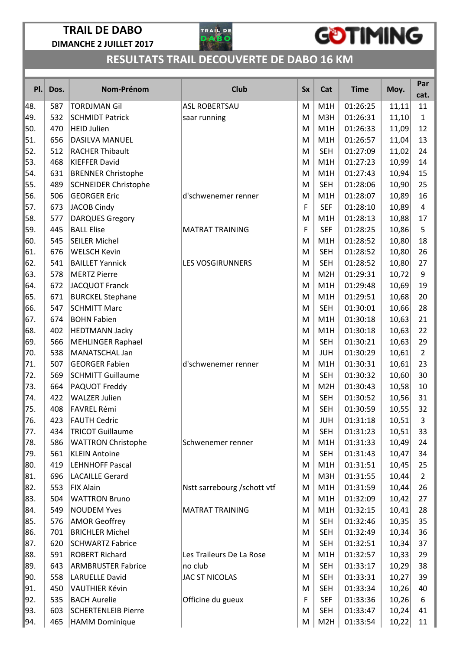

# GOTIMING

| Pl.        | Dos.       | Nom-Prénom                                       | <b>Club</b>                  | <b>Sx</b> | Cat              | <b>Time</b>          | Moy.           | Par<br>cat.          |
|------------|------------|--------------------------------------------------|------------------------------|-----------|------------------|----------------------|----------------|----------------------|
| 48.        | 587        | <b>TORDJMAN Gil</b>                              | <b>ASL ROBERTSAU</b>         | M         | M1H              | 01:26:25             | 11,11          | 11                   |
| 49.        | 532        | <b>SCHMIDT Patrick</b>                           | saar running                 | M         | M3H              | 01:26:31             | 11,10          | $\mathbf{1}$         |
| 50.        | 470        | <b>HEID Julien</b>                               |                              | M         | M1H              | 01:26:33             | 11,09          | 12                   |
| 51.        | 656        | DASILVA MANUEL                                   |                              | M         | M1H              | 01:26:57             | 11,04          | 13                   |
| 52.        | 512        | <b>RACHER Thibault</b>                           |                              | M         | <b>SEH</b>       | 01:27:09             | 11,02          | 24                   |
| 53.        | 468        | <b>KIEFFER David</b>                             |                              | M         | M1H              | 01:27:23             | 10,99          | 14                   |
| 54.        | 631        | <b>BRENNER Christophe</b>                        |                              | M         | M1H              | 01:27:43             | 10,94          | 15                   |
| 55.        | 489        | <b>SCHNEIDER Christophe</b>                      |                              | M         | <b>SEH</b>       | 01:28:06             | 10,90          | 25                   |
| 56.        | 506        | <b>GEORGER Eric</b>                              | d'schwenemer renner          | M         | M1H              | 01:28:07             | 10,89          | 16                   |
| 57.        | 673        | <b>JACOB Cindy</b>                               |                              | F         | <b>SEF</b>       | 01:28:10             | 10,89          | 4                    |
| 58.        | 577        | <b>DARQUES Gregory</b>                           |                              | M         | M1H              | 01:28:13             | 10,88          | 17                   |
| 59.        | 445        | <b>BALL Elise</b>                                | <b>MATRAT TRAINING</b>       | F         | <b>SEF</b>       | 01:28:25             | 10,86          | 5                    |
| 60.        | 545        | <b>SEILER Michel</b>                             |                              | M         | M1H              | 01:28:52             | 10,80          | 18                   |
| 61.        | 676        | <b>WELSCH Kevin</b>                              |                              | M         | <b>SEH</b>       | 01:28:52             | 10,80          | 26                   |
| 62.        | 541        | <b>BAILLET Yannick</b>                           | <b>LES VOSGIRUNNERS</b>      | M         | <b>SEH</b>       | 01:28:52             | 10,80          | 27                   |
| 63.        | 578        | <b>MERTZ Pierre</b>                              |                              | M         | M2H              | 01:29:31             | 10,72          | 9                    |
| 64.        | 672        | <b>JACQUOT Franck</b>                            |                              | M         | M1H              | 01:29:48             | 10,69          | 19                   |
| 65.        | 671        | <b>BURCKEL Stephane</b>                          |                              | M         | M1H              | 01:29:51             | 10,68          | 20                   |
| 66.        | 547        | <b>SCHMITT Marc</b>                              |                              | M         | <b>SEH</b>       | 01:30:01             | 10,66          | 28                   |
| 67.        | 674        | <b>BOHN Fabien</b>                               |                              | M         | M1H              | 01:30:18             | 10,63          | 21                   |
| 68.        | 402        | <b>HEDTMANN Jacky</b>                            |                              | M         | M1H              | 01:30:18             | 10,63          | 22                   |
| 69.        | 566        | <b>MEHLINGER Raphael</b>                         |                              | M         | <b>SEH</b>       | 01:30:21             | 10,63          | 29                   |
| 70.        | 538        | MANATSCHAL Jan                                   |                              | M         | <b>JUH</b>       | 01:30:29             | 10,61          | $\overline{2}$       |
| 71.        | 507        | <b>GEORGER Fabien</b>                            | d'schwenemer renner          | M         | M1H              | 01:30:31             | 10,61          | 23                   |
| 72.        | 569        | <b>SCHMITT Guillaume</b>                         |                              | M         | <b>SEH</b>       | 01:30:32             | 10,60          | 30                   |
| 73.        | 664        | PAQUOT Freddy                                    |                              | M         | M <sub>2</sub> H | 01:30:43             | 10,58          | 10                   |
| 74.        | 422        | <b>WALZER Julien</b>                             |                              | M         | <b>SEH</b>       | 01:30:52             | 10,56          | 31                   |
| 75.        | 408        | <b>FAVREL Rémi</b>                               |                              | M         | <b>SEH</b>       | 01:30:59             | 10,55          | 32                   |
| 76.        | 423        | <b>FAUTH Cedric</b>                              |                              | M         | JUH              | 01:31:18             | 10,51          | 3                    |
| 77.        | 434        | <b>TRICOT Guillaume</b>                          |                              | M         | <b>SEH</b>       | 01:31:23             | 10,51          | 33                   |
| 78.        | 586        | <b>WATTRON Christophe</b>                        | Schwenemer renner            | M         | M1H              | 01:31:33             | 10,49          | 24                   |
| 79.        | 561        | <b>KLEIN Antoine</b>                             |                              | M         | <b>SEH</b>       | 01:31:43             | 10,47          | 34                   |
| 80.<br>81. | 419        | <b>LEHNHOFF Pascal</b><br><b>LACAILLE Gerard</b> |                              | M         | M1H              | 01:31:51             | 10,45          | 25                   |
| 82.        | 696<br>553 | <b>FIX Alain</b>                                 | Nstt sarrebourg / schott vtf | M<br>M    | M3H<br>M1H       | 01:31:55<br>01:31:59 | 10,44<br>10,44 | $\overline{2}$<br>26 |
| 83.        | 504        | <b>WATTRON Bruno</b>                             |                              | M         | M1H              | 01:32:09             | 10,42          | 27                   |
| 84.        | 549        | <b>NOUDEM Yves</b>                               | <b>MATRAT TRAINING</b>       | M         | M1H              | 01:32:15             | 10,41          | 28                   |
| 85.        | 576        | <b>AMOR Geoffrey</b>                             |                              | M         | <b>SEH</b>       | 01:32:46             | 10,35          | 35                   |
| 86.        | 701        | <b>BRICHLER Michel</b>                           |                              | M         | <b>SEH</b>       | 01:32:49             | 10,34          | 36                   |
| 87.        | 620        | <b>SCHWARTZ Fabrice</b>                          |                              | M         | <b>SEH</b>       | 01:32:51             | 10,34          | 37                   |
| 88.        | 591        | <b>ROBERT Richard</b>                            | Les Traileurs De La Rose     | M         | M1H              | 01:32:57             | 10,33          | 29                   |
| 89.        | 643        | <b>ARMBRUSTER Fabrice</b>                        | no club                      | M         | <b>SEH</b>       | 01:33:17             | 10,29          | 38                   |
| 90.        | 558        | <b>LARUELLE David</b>                            | JAC ST NICOLAS               | M         | <b>SEH</b>       | 01:33:31             | 10,27          | 39                   |
| 91.        | 450        | <b>VAUTHIER Kévin</b>                            |                              | M         | <b>SEH</b>       | 01:33:34             | 10,26          | 40                   |
| 92.        | 535        | <b>BACH Aurelie</b>                              | Officine du gueux            | F         | <b>SEF</b>       | 01:33:36             | 10,26          | 6                    |
| 93.        | 603        | <b>SCHERTENLEIB Pierre</b>                       |                              | M         | <b>SEH</b>       | 01:33:47             | 10,24          | 41                   |
| 94.        | 465        | <b>HAMM Dominique</b>                            |                              | M         | M <sub>2</sub> H | 01:33:54             | 10,22          | 11                   |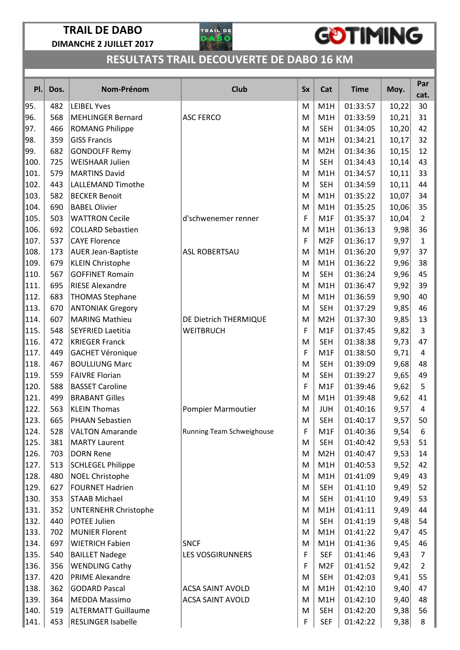

# GOTIMING

| PI.  | Dos. | Nom-Prénom                  | <b>Club</b>               | <b>Sx</b> | Cat              | <b>Time</b> | Moy.  | Par<br>cat.    |
|------|------|-----------------------------|---------------------------|-----------|------------------|-------------|-------|----------------|
| 95.  | 482  | <b>LEIBEL Yves</b>          |                           | M         | M1H              | 01:33:57    | 10,22 | 30             |
| 96.  | 568  | <b>MEHLINGER Bernard</b>    | <b>ASC FERCO</b>          | M         | M1H              | 01:33:59    | 10,21 | 31             |
| 97.  | 466  | <b>ROMANG Philippe</b>      |                           | M         | <b>SEH</b>       | 01:34:05    | 10,20 | 42             |
| 98.  | 359  | <b>GISS Francis</b>         |                           | M         | M1H              | 01:34:21    | 10,17 | 32             |
| 99.  | 682  | <b>GONDOLFF Remy</b>        |                           | M         | M <sub>2</sub> H | 01:34:36    | 10,15 | 12             |
| 100. | 725  | <b>WEISHAAR Julien</b>      |                           | M         | <b>SEH</b>       | 01:34:43    | 10,14 | 43             |
| 101. | 579  | <b>MARTINS David</b>        |                           | M         | M1H              | 01:34:57    | 10,11 | 33             |
| 102. | 443  | <b>LALLEMAND Timothe</b>    |                           | M         | <b>SEH</b>       | 01:34:59    | 10,11 | 44             |
| 103. | 582  | <b>BECKER Benoit</b>        |                           | M         | M1H              | 01:35:22    | 10,07 | 34             |
| 104. | 690  | <b>BABEL Olivier</b>        |                           | M         | M1H              | 01:35:25    | 10,06 | 35             |
| 105. | 503  | <b>WATTRON Cecile</b>       | d'schwenemer renner       | F         | M1F              | 01:35:37    | 10,04 | $\overline{2}$ |
| 106. | 692  | <b>COLLARD Sebastien</b>    |                           | M         | M1H              | 01:36:13    | 9,98  | 36             |
| 107. | 537  | <b>CAYE Florence</b>        |                           | F         | M <sub>2F</sub>  | 01:36:17    | 9,97  | $\mathbf{1}$   |
| 108. | 173  | <b>AUER Jean-Baptiste</b>   | <b>ASL ROBERTSAU</b>      | M         | M1H              | 01:36:20    | 9,97  | 37             |
| 109. | 679  | <b>KLEIN Christophe</b>     |                           | M         | M1H              | 01:36:22    | 9,96  | 38             |
| 110. | 567  | <b>GOFFINET Romain</b>      |                           | M         | <b>SEH</b>       | 01:36:24    | 9,96  | 45             |
| 111. | 695  | <b>RIESE Alexandre</b>      |                           | M         | M1H              | 01:36:47    | 9,92  | 39             |
| 112. | 683  | <b>THOMAS Stephane</b>      |                           | M         | M1H              | 01:36:59    | 9,90  | 40             |
| 113. | 670  | <b>ANTONIAK Gregory</b>     |                           | M         | <b>SEH</b>       | 01:37:29    | 9,85  | 46             |
| 114. | 607  | <b>MARING Mathieu</b>       | DE Dietrich THERMIQUE     | M         | M2H              | 01:37:30    | 9,85  | 13             |
| 115. | 548  | <b>SEYFRIED Laetitia</b>    | <b>WEITBRUCH</b>          | F         | M1F              | 01:37:45    | 9,82  | 3              |
| 116. | 472  | <b>KRIEGER Franck</b>       |                           | M         | <b>SEH</b>       | 01:38:38    | 9,73  | 47             |
| 117  | 449  | <b>GACHET Véronique</b>     |                           | F         | M1F              | 01:38:50    | 9,71  | 4              |
| 118. | 467  | <b>BOULLIUNG Marc</b>       |                           | M         | <b>SEH</b>       | 01:39:09    | 9,68  | 48             |
| 119. | 559  | <b>FAIVRE Florian</b>       |                           | M         | <b>SEH</b>       | 01:39:27    | 9,65  | 49             |
| 120. | 588  | <b>BASSET Caroline</b>      |                           | F         | M1F              | 01:39:46    | 9,62  | 5              |
| 121. | 499  | <b>BRABANT Gilles</b>       |                           | M         | M1H              | 01:39:48    | 9,62  | 41             |
| 122. | 563  | <b>KLEIN Thomas</b>         | Pompier Marmoutier        | M         | <b>JUH</b>       | 01:40:16    | 9,57  | 4              |
| 123. | 665  | PHAAN Sebastien             |                           | M         | SEH              | 01:40:17    | 9,57  | 50             |
| 124. | 528  | <b>VALTON Amarande</b>      | Running Team Schweighouse | F         | M1F              | 01:40:36    | 9,54  | 6              |
| 125. | 381  | <b>MARTY Laurent</b>        |                           | M         | <b>SEH</b>       | 01:40:42    | 9,53  | 51             |
| 126. | 703  | <b>DORN Rene</b>            |                           | M         | M <sub>2</sub> H | 01:40:47    | 9,53  | 14             |
| 127. | 513  | <b>SCHLEGEL Philippe</b>    |                           | M         | M1H              | 01:40:53    | 9,52  | 42             |
| 128. | 480  | <b>NOEL Christophe</b>      |                           | M         | M1H              | 01:41:09    | 9,49  | 43             |
| 129. | 627  | <b>FOURNET Hadrien</b>      |                           | M         | <b>SEH</b>       | 01:41:10    | 9,49  | 52             |
| 130. | 353  | <b>STAAB Michael</b>        |                           | M         | <b>SEH</b>       | 01:41:10    | 9,49  | 53             |
| 131. | 352  | <b>UNTERNEHR Christophe</b> |                           | M         | M1H              | 01:41:11    | 9,49  | 44             |
| 132. | 440  | <b>POTEE Julien</b>         |                           | M         | <b>SEH</b>       | 01:41:19    | 9,48  | 54             |
| 133. | 702  | <b>MUNIER Florent</b>       |                           | M         | M1H              | 01:41:22    | 9,47  | 45             |
| 134. | 697  | <b>WIETRICH Fabien</b>      | <b>SNCF</b>               | M         | M1H              | 01:41:36    | 9,45  | 46             |
| 135. | 540  | <b>BAILLET Nadege</b>       | <b>LES VOSGIRUNNERS</b>   | F         | <b>SEF</b>       | 01:41:46    | 9,43  | $\overline{7}$ |
| 136. | 356  | <b>WENDLING Cathy</b>       |                           | F         | M <sub>2F</sub>  | 01:41:52    | 9,42  | $\overline{2}$ |
| 137. | 420  | <b>PRIME Alexandre</b>      |                           | M         | <b>SEH</b>       | 01:42:03    | 9,41  | 55             |
| 138. | 362  | <b>GODARD Pascal</b>        | <b>ACSA SAINT AVOLD</b>   | M         | M1H              | 01:42:10    | 9,40  | 47             |
| 139. | 364  | <b>MEDDA Massimo</b>        | <b>ACSA SAINT AVOLD</b>   | M         | M1H              | 01:42:10    | 9,40  | 48             |
| 140. | 519  | <b>ALTERMATT Guillaume</b>  |                           | M         | <b>SEH</b>       | 01:42:20    | 9,38  | 56             |
| 141. | 453  | <b>RESLINGER Isabelle</b>   |                           | F         | <b>SEF</b>       | 01:42:22    | 9,38  | 8              |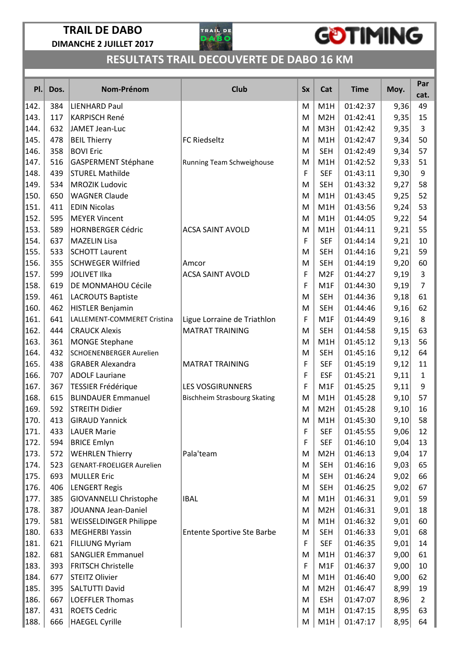

# GOTIMING

| PI.  | Dos. | Nom-Prénom                       | <b>Club</b>                         | <b>Sx</b> | Cat              | <b>Time</b> | Moy. | Par<br>cat.    |
|------|------|----------------------------------|-------------------------------------|-----------|------------------|-------------|------|----------------|
| 142. | 384  | <b>LIENHARD Paul</b>             |                                     | M         | M1H              | 01:42:37    | 9,36 | 49             |
| 143. | 117  | <b>KARPISCH René</b>             |                                     | M         | M <sub>2</sub> H | 01:42:41    | 9,35 | 15             |
| 144. | 632  | JAMET Jean-Luc                   |                                     | M         | M3H              | 01:42:42    | 9,35 | 3              |
| 145. | 478  | <b>BEIL Thierry</b>              | <b>FC Riedseltz</b>                 | M         | M1H              | 01:42:47    | 9,34 | 50             |
| 146. | 358  | <b>BOVI Eric</b>                 |                                     | M         | <b>SEH</b>       | 01:42:49    | 9,34 | 57             |
| 147. | 516  | GASPERMENT Stéphane              | Running Team Schweighouse           | M         | M1H              | 01:42:52    | 9,33 | 51             |
| 148. | 439  | <b>STUREL Mathilde</b>           |                                     | F         | <b>SEF</b>       | 01:43:11    | 9,30 | 9              |
| 149. | 534  | <b>MROZIK Ludovic</b>            |                                     | M         | <b>SEH</b>       | 01:43:32    | 9,27 | 58             |
| 150. | 650  | <b>WAGNER Claude</b>             |                                     | M         | M1H              | 01:43:45    | 9,25 | 52             |
| 151. | 411  | <b>EDIN Nicolas</b>              |                                     | M         | M1H              | 01:43:56    | 9,24 | 53             |
| 152  | 595  | <b>MEYER Vincent</b>             |                                     | M         | M1H              | 01:44:05    | 9,22 | 54             |
| 153. | 589  | <b>HORNBERGER Cédric</b>         | <b>ACSA SAINT AVOLD</b>             | M         | M1H              | 01:44:11    | 9,21 | 55             |
| 154. | 637  | <b>MAZELIN Lisa</b>              |                                     | F         | <b>SEF</b>       | 01:44:14    | 9,21 | 10             |
| 155. | 533  | <b>SCHOTT Laurent</b>            |                                     | M         | <b>SEH</b>       | 01:44:16    | 9,21 | 59             |
| 156. | 355  | <b>SCHWEGER Wilfried</b>         | Amcor                               | M         | <b>SEH</b>       | 01:44:19    | 9,20 | 60             |
| 157. | 599  | <b>JOLIVET Ilka</b>              | <b>ACSA SAINT AVOLD</b>             | F         | M <sub>2F</sub>  | 01:44:27    | 9,19 | 3              |
| 158. | 619  | DE MONMAHOU Cécile               |                                     | F         | M1F              | 01:44:30    | 9,19 | $\overline{7}$ |
| 159. | 461  | <b>LACROUTS Baptiste</b>         |                                     | M         | <b>SEH</b>       | 01:44:36    | 9,18 | 61             |
| 160. | 462  | <b>HISTLER Benjamin</b>          |                                     | M         | <b>SEH</b>       | 01:44:46    | 9,16 | 62             |
| 161  | 641  | LALLEMENT-COMMERET Cristina      | Ligue Lorraine de Triathlon         | F         | M1F              | 01:44:49    | 9,16 | 8              |
| 162. | 444  | <b>CRAUCK Alexis</b>             | <b>MATRAT TRAINING</b>              | M         | <b>SEH</b>       | 01:44:58    | 9,15 | 63             |
| 163. | 361  | <b>MONGE Stephane</b>            |                                     | M         | M1H              | 01:45:12    | 9,13 | 56             |
| 164. | 432  | <b>SCHOENENBERGER Aurelien</b>   |                                     | M         | <b>SEH</b>       | 01:45:16    | 9,12 | 64             |
| 165. | 438  | <b>GRABER Alexandra</b>          | <b>MATRAT TRAINING</b>              | F         | <b>SEF</b>       | 01:45:19    | 9,12 | 11             |
| 166. | 707  | <b>ADOLF Lauriane</b>            |                                     | F         | <b>ESF</b>       | 01:45:21    | 9,11 | $\mathbf{1}$   |
| 167. | 367  | <b>TESSIER Frédérique</b>        | <b>LES VOSGIRUNNERS</b>             | F         | M <sub>1</sub> F | 01:45:25    | 9,11 | 9              |
| 168. | 615  | <b>BLINDAUER Emmanuel</b>        | <b>Bischheim Strasbourg Skating</b> | M         | M1H              | 01:45:28    | 9,10 | 57             |
| 169. | 592  | <b>STREITH Didier</b>            |                                     | M         | M <sub>2</sub> H | 01:45:28    | 9,10 | 16             |
| 170. | 413  | <b>GIRAUD Yannick</b>            |                                     | M         | M1H              | 01:45:30    | 9,10 | 58             |
| 171. | 433  | <b>LAUER Marie</b>               |                                     | F         | <b>SEF</b>       | 01:45:55    | 9,06 | 12             |
| 172. | 594  | <b>BRICE Emlyn</b>               |                                     | F         | <b>SEF</b>       | 01:46:10    | 9,04 | 13             |
| 173. | 572  | <b>WEHRLEN Thierry</b>           | Pala'team                           | M         | M <sub>2</sub> H | 01:46:13    | 9,04 | 17             |
| 174. | 523  | <b>GENART-FROELIGER Aurelien</b> |                                     | M         | <b>SEH</b>       | 01:46:16    | 9,03 | 65             |
| 175. | 693  | <b>MULLER Eric</b>               |                                     | M         | <b>SEH</b>       | 01:46:24    | 9,02 | 66             |
| 176. | 406  | <b>LENGERT Regis</b>             |                                     | M         | <b>SEH</b>       | 01:46:25    | 9,02 | 67             |
| 177  | 385  | <b>GIOVANNELLI Christophe</b>    | <b>IBAL</b>                         | M         | M1H              | 01:46:31    | 9,01 | 59             |
| 178. | 387  | JOUANNA Jean-Daniel              |                                     | M         | M <sub>2</sub> H | 01:46:31    | 9,01 | 18             |
| 179. | 581  | <b>WEISSELDINGER Philippe</b>    |                                     | M         | M1H              | 01:46:32    | 9,01 | 60             |
| 180. | 633  | <b>MEGHERBI Yassin</b>           | <b>Entente Sportive Ste Barbe</b>   | M         | <b>SEH</b>       | 01:46:33    | 9,01 | 68             |
| 181. | 621  | <b>FILLIUNG Myriam</b>           |                                     | F         | <b>SEF</b>       | 01:46:35    | 9,01 | 14             |
| 182. | 681  | <b>SANGLIER Emmanuel</b>         |                                     | M         | M1H              | 01:46:37    | 9,00 | 61             |
| 183. | 393  | <b>FRITSCH Christelle</b>        |                                     | F         | M <sub>1</sub> F | 01:46:37    | 9,00 | 10             |
| 184. | 677  | <b>STEITZ Olivier</b>            |                                     | M         | M1H              | 01:46:40    | 9,00 | 62             |
| 185. | 395  | SALTUTTI David                   |                                     | M         | M <sub>2</sub> H | 01:46:47    | 8,99 | 19             |
| 186. | 667  | <b>LOEFFLER Thomas</b>           |                                     | M         | <b>ESH</b>       | 01:47:07    | 8,96 | $\overline{2}$ |
| 187. | 431  | <b>ROETS Cedric</b>              |                                     | М         | M1H              | 01:47:15    | 8,95 | 63             |
| 188. | 666  | <b>HAEGEL Cyrille</b>            |                                     | M         | M1H              | 01:47:17    | 8,95 | 64             |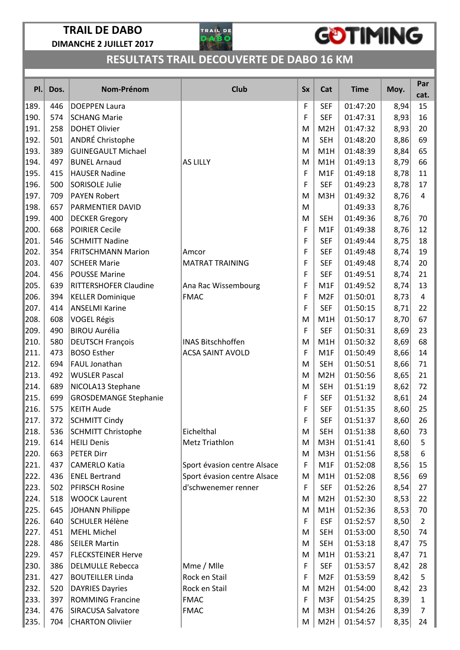

## GOTIMING

| PI.  | Dos. | Nom-Prénom                   | <b>Club</b>                 | <b>Sx</b> | Cat              | <b>Time</b> | Moy. | Par<br>cat.    |
|------|------|------------------------------|-----------------------------|-----------|------------------|-------------|------|----------------|
| 189. | 446  | <b>DOEPPEN Laura</b>         |                             | F         | <b>SEF</b>       | 01:47:20    | 8,94 | 15             |
| 190. | 574  | <b>SCHANG Marie</b>          |                             | F         | <b>SEF</b>       | 01:47:31    | 8,93 | 16             |
| 191. | 258  | <b>DOHET Olivier</b>         |                             | M         | M <sub>2</sub> H | 01:47:32    | 8,93 | 20             |
| 192. | 501  | ANDRÉ Christophe             |                             | M         | <b>SEH</b>       | 01:48:20    | 8,86 | 69             |
| 193. | 389  | <b>GUINEGAULT Michael</b>    |                             | M         | M1H              | 01:48:39    | 8,84 | 65             |
| 194. | 497  | <b>BUNEL Arnaud</b>          | <b>AS LILLY</b>             | M         | M1H              | 01:49:13    | 8,79 | 66             |
| 195. | 415  | <b>HAUSER Nadine</b>         |                             | F         | M1F              | 01:49:18    | 8,78 | 11             |
| 196. | 500  | <b>SORISOLE Julie</b>        |                             | F         | <b>SEF</b>       | 01:49:23    | 8,78 | 17             |
| 197. | 709  | <b>PAYEN Robert</b>          |                             | M         | M3H              | 01:49:32    | 8,76 | 4              |
| 198. | 657  | PARMENTIER DAVID             |                             | M         |                  | 01:49:33    | 8,76 |                |
| 199. | 400  | <b>DECKER Gregory</b>        |                             | M         | <b>SEH</b>       | 01:49:36    | 8,76 | 70             |
| 200. | 668  | <b>POIRIER Cecile</b>        |                             | F         | M <sub>1</sub> F | 01:49:38    | 8,76 | 12             |
| 201. | 546  | <b>SCHMITT Nadine</b>        |                             | F         | <b>SEF</b>       | 01:49:44    | 8,75 | 18             |
| 202. | 354  | <b>FRITSCHMANN Marion</b>    | Amcor                       | F         | <b>SEF</b>       | 01:49:48    | 8,74 | 19             |
| 203. | 407  | <b>SCHEER Marie</b>          | <b>MATRAT TRAINING</b>      | F         | <b>SEF</b>       | 01:49:48    | 8,74 | 20             |
| 204. | 456  | <b>POUSSE Marine</b>         |                             | F         | <b>SEF</b>       | 01:49:51    | 8,74 | 21             |
| 205. | 639  | <b>RITTERSHOFER Claudine</b> | Ana Rac Wissembourg         | F         | M <sub>1</sub> F | 01:49:52    | 8,74 | 13             |
| 206. | 394  | <b>KELLER Dominique</b>      | <b>FMAC</b>                 | F         | M <sub>2F</sub>  | 01:50:01    | 8,73 | 4              |
| 207. | 414  | <b>ANSELMI Karine</b>        |                             | F         | <b>SEF</b>       | 01:50:15    | 8,71 | 22             |
| 208. | 608  | <b>VOGEL Régis</b>           |                             | M         | M1H              | 01:50:17    | 8,70 | 67             |
| 209. | 490  | <b>BIROU Aurélia</b>         |                             | F         | <b>SEF</b>       | 01:50:31    | 8,69 | 23             |
| 210. | 580  | <b>DEUTSCH François</b>      | <b>INAS Bitschhoffen</b>    | M         | M1H              | 01:50:32    | 8,69 | 68             |
| 211. | 473  | <b>BOSO Esther</b>           | <b>ACSA SAINT AVOLD</b>     | F         | M <sub>1</sub> F | 01:50:49    | 8,66 | 14             |
| 212. | 694  | FAUL Jonathan                |                             | M         | <b>SEH</b>       | 01:50:51    | 8,66 | 71             |
| 213. | 492  | <b>WUSLER Pascal</b>         |                             | M         | M <sub>2</sub> H | 01:50:56    | 8,65 | 21             |
| 214. | 689  | NICOLA13 Stephane            |                             | M         | <b>SEH</b>       | 01:51:19    | 8,62 | 72             |
| 215. | 699  | <b>GROSDEMANGE Stephanie</b> |                             | F         | <b>SEF</b>       | 01:51:32    | 8,61 | 24             |
| 216. | 575  | <b>KEITH Aude</b>            |                             | F         | <b>SEF</b>       | 01:51:35    | 8,60 | 25             |
| 217. | 372  | SCHMITT Cindy                |                             | F         | <b>SEF</b>       | 01:51:37    | 8,60 | 26             |
| 218. | 536  | SCHMITT Christophe           | Eichelthal                  | M         | <b>SEH</b>       | 01:51:38    | 8,60 | 73             |
| 219. | 614  | <b>HEILI Denis</b>           | Metz Triathlon              | M         | M3H              | 01:51:41    | 8,60 | 5              |
| 220. | 663  | <b>PETER Dirr</b>            |                             | M         | M3H              | 01:51:56    | 8,58 | 6              |
| 221. | 437  | <b>CAMERLO Katia</b>         | Sport évasion centre Alsace | F         | M1F              | 01:52:08    | 8,56 | 15             |
| 222. | 436  | <b>ENEL Bertrand</b>         | Sport évasion centre Alsace | M         | M1H              | 01:52:08    | 8,56 | 69             |
| 223. | 502  | PFIRSCH Rosine               | d'schwenemer renner         | F         | <b>SEF</b>       | 01:52:26    | 8,54 | 27             |
| 224. | 518  | <b>WOOCK Laurent</b>         |                             | M         | M <sub>2</sub> H | 01:52:30    | 8,53 | 22             |
| 225. | 645  | <b>JOHANN Philippe</b>       |                             | M         | M1H              | 01:52:36    | 8,53 | 70             |
| 226. | 640  | <b>SCHULER Hélène</b>        |                             | F         | <b>ESF</b>       | 01:52:57    | 8,50 | $\overline{2}$ |
| 227. | 451  | <b>MEHL Michel</b>           |                             | M         | <b>SEH</b>       | 01:53:00    | 8,50 | 74             |
| 228. | 486  | <b>SEILER Martin</b>         |                             | M         | <b>SEH</b>       | 01:53:18    | 8,47 | 75             |
| 229. | 457  | <b>FLECKSTEINER Herve</b>    |                             | M         | M1H              | 01:53:21    | 8,47 | 71             |
| 230. | 386  | <b>DELMULLE Rebecca</b>      | Mme / Mlle                  | F         | <b>SEF</b>       | 01:53:57    | 8,42 | 28             |
| 231. | 427  | <b>BOUTEILLER Linda</b>      | Rock en Stail               | F         | M <sub>2F</sub>  | 01:53:59    | 8,42 | 5              |
| 232. | 520  | <b>DAYRIES Dayries</b>       | Rock en Stail               | M         | M <sub>2</sub> H | 01:54:00    | 8,42 | 23             |
| 233. | 397  | <b>ROMMING Francine</b>      | <b>FMAC</b>                 | F         | M3F              | 01:54:25    | 8,39 | $\mathbf{1}$   |
| 234. | 476  | <b>SIRACUSA Salvatore</b>    | <b>FMAC</b>                 | M         | M3H              | 01:54:26    | 8,39 | $\overline{7}$ |
| 235. | 704  | <b>CHARTON Oliviier</b>      |                             | M         | M <sub>2</sub> H | 01:54:57    | 8,35 | 24             |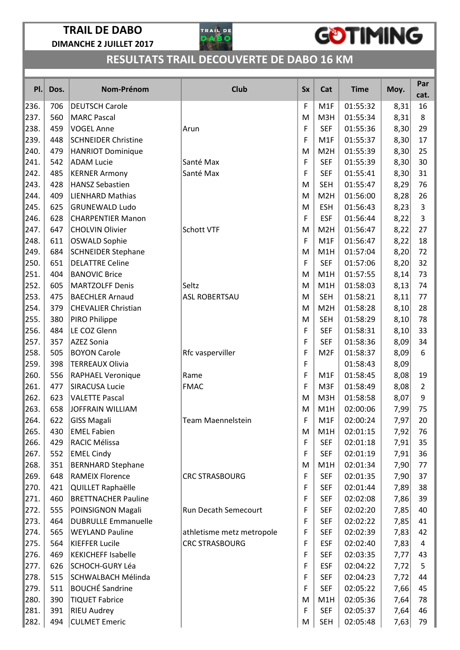

## GOTIMING

| PI.  | Dos. | Nom-Prénom                 | <b>Club</b>               | <b>Sx</b> | Cat              | <b>Time</b> | Moy. | Par<br>cat.    |
|------|------|----------------------------|---------------------------|-----------|------------------|-------------|------|----------------|
| 236. | 706  | <b>DEUTSCH Carole</b>      |                           | F         | M1F              | 01:55:32    | 8,31 | 16             |
| 237. | 560  | <b>MARC Pascal</b>         |                           | M         | M3H              | 01:55:34    | 8,31 | 8              |
| 238. | 459  | <b>VOGEL Anne</b>          | Arun                      | F         | <b>SEF</b>       | 01:55:36    | 8,30 | 29             |
| 239. | 448  | <b>SCHNEIDER Christine</b> |                           | F         | M <sub>1</sub> F | 01:55:37    | 8,30 | 17             |
| 240. | 479  | <b>HANRIOT Dominique</b>   |                           | M         | M <sub>2</sub> H | 01:55:39    | 8,30 | 25             |
| 241. | 542  | <b>ADAM Lucie</b>          | Santé Max                 | F         | <b>SEF</b>       | 01:55:39    | 8,30 | 30             |
| 242. | 485  | <b>KERNER Armony</b>       | Santé Max                 | F         | <b>SEF</b>       | 01:55:41    | 8,30 | 31             |
| 243. | 428  | <b>HANSZ Sebastien</b>     |                           | M         | <b>SEH</b>       | 01:55:47    | 8,29 | 76             |
| 244. | 409  | <b>LIENHARD Mathias</b>    |                           | M         | M <sub>2</sub> H | 01:56:00    | 8,28 | 26             |
| 245. | 625  | <b>GRUNEWALD Ludo</b>      |                           | M         | <b>ESH</b>       | 01:56:43    | 8,23 | 3              |
| 246. | 628  | <b>CHARPENTIER Manon</b>   |                           | F         | <b>ESF</b>       | 01:56:44    | 8,22 | 3              |
| 247. | 647  | <b>CHOLVIN Olivier</b>     | Schott VTF                | M         | M2H              | 01:56:47    | 8,22 | 27             |
| 248. | 611  | OSWALD Sophie              |                           | F         | M1F              | 01:56:47    | 8,22 | 18             |
| 249. | 684  | <b>SCHNEIDER Stephane</b>  |                           | M         | M1H              | 01:57:04    | 8,20 | 72             |
| 250. | 651  | <b>DELATTRE Celine</b>     |                           | F         | <b>SEF</b>       | 01:57:06    | 8,20 | 32             |
| 251. | 404  | <b>BANOVIC Brice</b>       |                           | M         | M1H              | 01:57:55    | 8,14 | 73             |
| 252. | 605  | <b>MARTZOLFF Denis</b>     | Seltz                     | M         | M1H              | 01:58:03    | 8,13 | 74             |
| 253. | 475  | <b>BAECHLER Arnaud</b>     | <b>ASL ROBERTSAU</b>      | M         | <b>SEH</b>       | 01:58:21    | 8,11 | 77             |
| 254. | 379  | <b>CHEVALIER Christian</b> |                           | M         | M <sub>2</sub> H | 01:58:28    | 8,10 | 28             |
| 255. | 380  | PIRO Philippe              |                           | M         | <b>SEH</b>       | 01:58:29    | 8,10 | 78             |
| 256. | 484  | LE COZ Glenn               |                           | F         | <b>SEF</b>       | 01:58:31    | 8,10 | 33             |
| 257. | 357  | <b>AZEZ Sonia</b>          |                           | F         | <b>SEF</b>       | 01:58:36    | 8,09 | 34             |
| 258. | 505  | <b>BOYON Carole</b>        | Rfc vasperviller          | F         | M <sub>2F</sub>  | 01:58:37    | 8,09 | 6              |
| 259. | 398  | <b>TERREAUX Olivia</b>     |                           | F         |                  | 01:58:43    | 8,09 |                |
| 260. | 556  | <b>RAPHAEL Veronique</b>   | Rame                      | F         | M1F              | 01:58:45    | 8,08 | 19             |
| 261. | 477  | <b>SIRACUSA Lucie</b>      | <b>FMAC</b>               | F         | M3F              | 01:58:49    | 8,08 | $\overline{2}$ |
| 262. | 623  | <b>VALETTE Pascal</b>      |                           | M         | M3H              | 01:58:58    | 8,07 | 9              |
| 263. | 658  | <b>JOFFRAIN WILLIAM</b>    |                           | M         | M1H              | 02:00:06    | 7,99 | 75             |
| 264. | 622  | GISS Magali                | Team Maennelstein         | F         | M1F              | 02:00:24    | 7,97 | 20             |
| 265. | 430  | <b>EMEL Fabien</b>         |                           | M         | M1H              | 02:01:15    | 7,92 | 76             |
| 266. | 429  | RACIC Mélissa              |                           | F         | <b>SEF</b>       | 02:01:18    | 7,91 | 35             |
| 267. | 552  | <b>EMEL Cindy</b>          |                           | F         | <b>SEF</b>       | 02:01:19    | 7,91 | 36             |
| 268. | 351  | <b>BERNHARD Stephane</b>   |                           | M         | M1H              | 02:01:34    | 7,90 | 77             |
| 269. | 648  | <b>RAMEIX Florence</b>     | <b>CRC STRASBOURG</b>     | F         | <b>SEF</b>       | 02:01:35    | 7,90 | 37             |
| 270. | 421  | QUILLET Raphaëlle          |                           | F         | <b>SEF</b>       | 02:01:44    | 7,89 | 38             |
| 271. | 460  | <b>BRETTNACHER Pauline</b> |                           | F         | <b>SEF</b>       | 02:02:08    | 7,86 | 39             |
| 272. | 555  | POINSIGNON Magali          | Run Decath Semecourt      | F         | <b>SEF</b>       | 02:02:20    | 7,85 | 40             |
| 273. | 464  | <b>DUBRULLE Emmanuelle</b> |                           | F         | <b>SEF</b>       | 02:02:22    | 7,85 | 41             |
| 274. | 565  | <b>WEYLAND Pauline</b>     | athletisme metz metropole | F         | <b>SEF</b>       | 02:02:39    | 7,83 | 42             |
| 275. | 564  | <b>KIEFFER Lucile</b>      | <b>CRC STRASBOURG</b>     | F         | <b>ESF</b>       | 02:02:40    | 7,83 | 4              |
| 276. | 469  | <b>KEKICHEFF Isabelle</b>  |                           | F         | <b>SEF</b>       | 02:03:35    | 7,77 | 43             |
| 277. | 626  | SCHOCH-GURY Léa            |                           | F         | <b>ESF</b>       | 02:04:22    | 7,72 | 5              |
| 278. | 515  | SCHWALBACH Mélinda         |                           | F         | <b>SEF</b>       | 02:04:23    | 7,72 | 44             |
| 279. | 511  | <b>BOUCHÉ Sandrine</b>     |                           | F         | <b>SEF</b>       | 02:05:22    | 7,66 | 45             |
| 280. | 390  | <b>TIQUET Fabrice</b>      |                           | M         | M1H              | 02:05:36    | 7,64 | 78             |
| 281. | 391  | <b>RIEU Audrey</b>         |                           | F         | <b>SEF</b>       | 02:05:37    | 7,64 | 46             |
| 282. | 494  | <b>CULMET Emeric</b>       |                           | M         | <b>SEH</b>       | 02:05:48    | 7,63 | 79             |